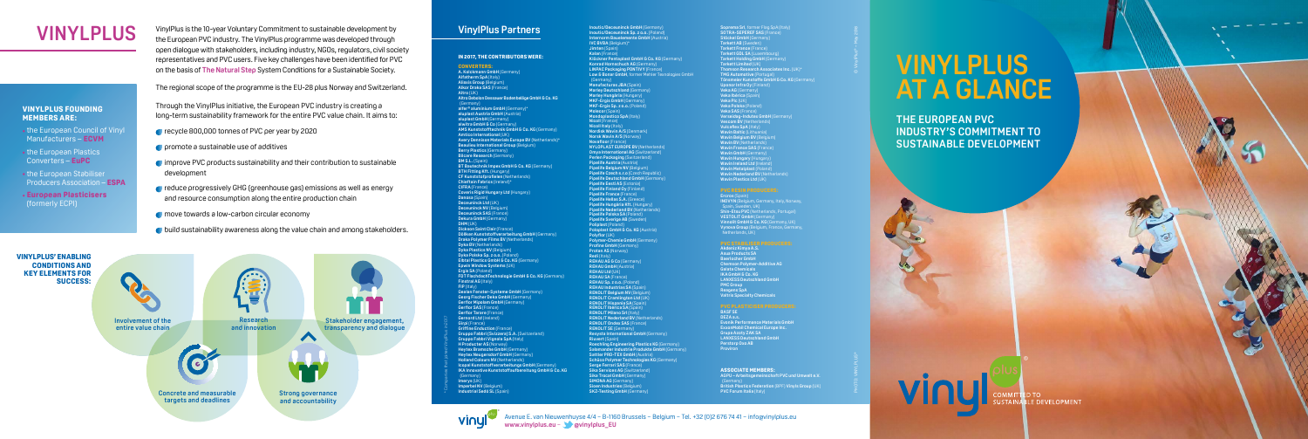### **VinylPlus Partners**

#### **IN 2017, THE CONTRIBUTORS WERE:**

**CONVERTERS: A. Kolckmann GmbH** (Germany) **Alfatherm SpA** (Italy) **Aliaxis Group** (Belgium) **Alkor Draka SAS** (France) **Altro** (UK) **Altro Debolon Dessauer Bodenbeläge GmbH & Co. KG** (Germany) **alfer® aluminium GmbH** (Germany)\* **aluplast Austria GmbH** (Austria) **aluplast GmbH** (Germany) **alwitra GmbH & Co** (Germany) **AMS Kunststofftechnik GmbH & Co. KG** (Germany) **Amtico International** (UK) **Avery Dennison Materials Europe BV** (Netherlands)\* **Beaulieu International Group** (Belgium) **Berry Plastics** (Germany) **Bilcare Research** (Germany) **BM S.L. (Spain) BT Bautechnik Impex GmbH & Co. KG** (Germany) **BTH Fitting Kft.** (Hungary) **CF Kunststofprofielen** (Netherlands) **Chieftain Fabrics** (Ireland)\* **CIFRA** (France) **Coveris Rigid Hungary Ltd** (Hungary) **Danosa** (Spain) **Deceuninck Ltd** (UK) **Deceuninck NV** (Belgium) **Deceuninck SAS** (France) **Dekura GmbH** (Germany) **DHM** (UK) **Dickson Saint Clair** (France) **Döllken Kunststoffverarbeitung GmbH** (Germany) **Draka Polymer Films BV** (Netherlands) **Dyka BV** (Netherlands) **Dyka Plastics NV** (Belgium) **Dyka Polska Sp. z o.o.** (Poland) **Elbtal Plastics GmbH & Co. KG** (Germany) **Epwin Window Systems** (UK) **Ergis SA** (Poland) **FDT FlachdachTechnologie GmbH & Co. KG** (Germany) **Finstral AG** (Italy) **FIP** (Italy) **Gealan Fenster-Systeme GmbH** (Germany) **Georg Fischer Deka GmbH** (Germany) **Gerflor Mipolam GmbH** (Germany) **Gerflor SAS** (France) **Gerflor Tarare** (France) **Gernord Ltd** (Ireland) **Girpi** (France) **Griffine Enduction** (France) **Gruppo Fabbri (Svizzera) S.A.** (Switzerland) **Gruppo Fabbri Vignola SpA** (Italy) **H Producter AS** (Norway) **Heytex Bramsche GmbH** (Germany) **Heytex Neugersdorf GmbH (Germany) Holland Colours NV** (Netherlands)<br>Icopal Kunststoffverarbeitungs GmbH (Germany)<br>IKA Innovative Kunststoffaufbereitung GmbH & Co. KG (Germany) **Imerys** (UK) **Imperbel NV** (Belgium) **Industrial Sedó SL** (Spain)

**Inoutic/Deceuninck GmbH** (Germany)

**Soprema Srl**, former Flag SpA (Italy) **SOTRA-SEPEREF SAS** (France) **Stöckel GmbH** (Germany) **Tarkett AB** (Sweden) **Tarkett France** (France)

**Inoutic/Deceuninck Sp. z o.o.** (Poland) **Internorm Bauelemente GmbH** (Austria) **IVC BVBA** (Belgium)\* **Jimten** *(Soain)* **Kalan** (France) Klöckner Pentaplast GmbH & Co. KG (Germany)<br>Konrad Hornschuch AG (Germany)<br>LINPAC Packaging PONTIVY (France)<br>Low & Bonar GmbH, former Mehler Texnologies GmbH (Germany) **Manufacturas JBA** (Spain) **Marley Deutschland** (Germany) **Marley Hungária** (Hungary) **MKF-Ergis GmbH** (Germany) **MKF-Ergis Sp. z o.o.** (Poland) **Molecor** (Spain) **Mondoplastico SpA** (Italy) **Nicoll** (France) **Nicoll Italy** (Italy) **Nordisk Wavin A/S** (Denmark) **Norsk Wavin A/S** (Norway) **Novafloor** (France) **NYLOPLAST EUROPE BV (Netherlands) Omya International AG** (Switzerland **Perlen Packaging** (Switzerland) **Pipelife Austria** (Austria) **Pipelife Belgium NV** (Belgium) **Pipelife Czech s.r.o** (Czech Republic) **Pipelife Deutschland GmbH** (Germany) **Pipelife Eesti AS (Estoni Pipelife Finland Oy** (Finland) **Pipelife France** (France) **Pipelife Hellas S.A.** (Greece) **Pipelife Hungária Kft.** (Hungary) **Pipelife Nederland BV** (Netherlands) **Pipelife Polska SA** (Poland) **Pipelife Sverige AB** (Sweden) **Poliplast** (Poland) **Poloplast GmbH & Co. KG** (Austria) **Polyflor** (UK) **Polymer-Chemie GmbH** (Germany) **Profine GmbH** (Germany **Protan AS** (Norway) **Redi** (Italy) **REHAU AG & Co** (Germany) **REHAU GmbH** (Austria) **REHAU Ltd** (UK) **REHAU SA** (France) **REHAU Sp. z o.o.** (Poland) **REHAU Industrias SA** (Spain) **RENOLIT Belgium NV** (Belgium) **RENOLIT Cramlington Ltd** (UK) **RENOLIT Hispania SA** (Spain) **RENOLIT Ibérica SA** (Spain) **RENOLIT Milano Srl** (Italy) **RENOLIT Nederland BV** (Netherlands) **RENOLIT Ondex SAS** (France) **RENOLIT SE** (Germany) **Resysta International GmbH** (Germany) **Riuvert** (Spain) **Roechling Engineering Plastics KG** (Germany) **Salamander Industrie Produkte GmbH** (Germany) **Sattler PRO-TEX GmbH** (Austria) **Schüco Polymer Technologies KG** (Germany) **Serge Ferrari SAS** (Fran **Sika Services AG** (Switzerland **Sika Trocal GmbH** (Germany) **SIMONA AG** (Germany) **Sioen Industries** (Belgium) **SKZ-Testing GmbH** (Germany)

**Tarkett GDL SA** (Luxembourg) **Tarkett Holding GmbH** (Germany)

#### **Tarkett Limited** (UK) **Thomson Research Associates Inc.** (UK)\* **TMG Automotive (Portugal) Tönsmeier Kunstoffe GmbH & Co. KG** (Germany) **Uponor Infra Oy** (Finlar **Veka AG** (Germany) **Veka Ibérica** (Spain) **Veka Plc** (UK) **Veka Polska** (Poland) **Veka SAS** (France) **Verseidag-Indutex GmbH** (Germany) **Vescom BV** (Netherlands) **Vulcaflex SpA** (Italy) **Wavin Baltic** (Lithuania) **Wavin Belgium BV** (Belgium) **Wavin BV** (Netherlands) **Wavin France SAS** (France) **Wavin GmbH** (Germany) **Wavin Hungary** (Hungary) **Wavin Ireland Ltd** (Ireland) **Wavin Metalplast** (Poland) **Wavin Pictorpiast** (Polatio)<br>**Wavin Nederland BV** (Netherland **Wavin Plastics Ltd** (UK)

**Ercros** (Spain) **INOVYN** (Belgium, Germany, Italy, Norway, Spain, Sweden, UK) **Shin-Etsu PVC** (Netherlands, Portugal) **VESTOLIT GmbH** (Germany) **Vinnolit GmbH & Co. KG** (Germany, UK) **Vynova Group** (Belgium, France, Germany, Netherlands, UK)

**Akdeniz Kimya A.S. Asua Products SA Baerlocher GmbH Chemson Polymer-Additive AG Galata Chemicals IKA GmbH & Co. KG LANXESS Deutschland GmbH PMC Group Reagens SpA Valtris Specialty Chemicals**

## **PVC PLASTICISER PRODUCERS: BASF SE**

**DEZA a.s. Evonik Performance Materials GmbH ExxonMobil Chemical Europe Inc. Grupa Azoty ZAK SA LANXESS Deutschland GmbH Perstorp Oxo AB Proviron**

**ASSOCIATE MEMBERS:**

**AGPU – Arbeitsgemeinschaft PVC und Umwelt e.V.** (Germany) **British Plastics Federation** (BPF) **Vinyls Group** (UK) **PVC Forum Italia** (Italy)

\* Companies that joined VinylPlus in 2017

#### Avenue E. van Nieuwenhuyse 4/4 − B-1160 Brussels − Belgium − Tel. +32 (0)2 676 74 41 − info@vinylplus.eu

**www.vinylplus.eu** − **[@vinylplus\\_EU](https://twitter.com/vinylplus_eu)**

© VinylPlus® – May 2018

PHOTO: VINYLPLUS®

VinylPlus is the 10-year Voluntary Commitment to sustainable development by the European PVC industry. The VinylPlus programme was developed through open dialogue with stakeholders, including industry, NGOs, regulators, civil society representatives and PVC users. Five key challenges have been identified for PVC on the basis of **[The Natural Step](https://thenaturalstep.org/)** System Conditions for a Sustainable Society.

The regional scope of the programme is the EU-28 plus Norway and Switzerland.

Through the VinylPlus initiative, the European PVC industry is creating a long-term sustainability framework for the entire PVC value chain. It aims to:

- **C** recycle 800,000 tonnes of PVC per year by 2020
- **C** promote a sustainable use of additives
- improve PVC products sustainability and their contribution to sustainable development
- reduce progressively GHG (greenhouse gas) emissions as well as energy and resource consumption along the entire production chain
- move towards a low-carbon circular economy
- **C** build sustainability awareness along the value chain and among stakeholders.



#### **VINYLPLUS FOUNDING MEMBERS ARE:**

- the European Council of Vinyl Manufacturers – **[ECVM](http://www.pvc.org/en/p/ecvm)**
- the European Plastics Converters – **[EuPC](https://www.plasticsconverters.eu)**
- the European Stabiliser Producers Association – **[ESPA](http://www.stabilisers.eu)**
- **[European Plasticisers](http://www.europeanplasticisers.eu)** (formerly ECPI)

# **VINYLPLUS**

# **VINYLPLUS AT A GLANCE**

**THE EUROPEAN PVC INDUSTRY'S COMMITMENT TO SUSTAINABLE DEVELOPMENT**

> D TO **BLE DEVELOPMENT**